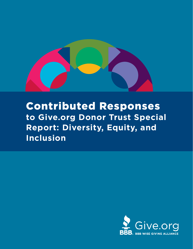

# Contributed Responses **to Give.org Donor Trust Special Report: Diversity, Equity, and Inclusion**

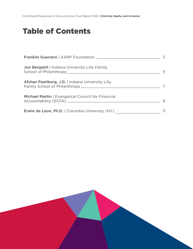Contributed Responses to Give.org Donor Trust Report 2022 | **Diversity, Equity, and Inclusion**

## Table of Contents

|                                                                  | $\overline{5}$ |
|------------------------------------------------------------------|----------------|
| Jon Bergdoll   Indiana University Lilly Family<br>$\overline{5}$ |                |
| Afshan Paarlberg, J.D.   Indiana University Lilly                |                |
| Michael Martin   Evangelical Council for Financial               |                |
| <b>Erwin de Leon, Ph.D.</b>   Columbia University (NY)           |                |

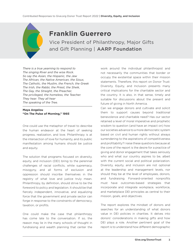#### **Franklin Guerrero**

Vice President of Philanthropy, Major Gifts and Gift Planning | AARP Foundation

*There is a true yearning to respond to The singing River and the wise Rock. So say the Asian, the Hispanic, the Jew The African, the Native American, the Sioux, The Catholic, the Muslim, the French, the Greek The Irish, the Rabbi, the Priest, the Sheik, The Gay, the Straight, the Preacher, The privileged, the homeless, the Teacher. They hear. They all hear The speaking of the Tree.*

#### **Maya Angelou "On The Pulse of Morning," 1993**

One could use the metaphor of travel to describe the human endeavor at the heart of seeking progress, realization, and love. Philanthropy is at the intersection of love for humanity, and its public manifestation among humans should be justice and equity.

The solution that programs focused on diversity, equity, and inclusion (DEI) bring to the perennial challenges of racial conflicts, white supremacy, misogyny, and all forms of exclusion and oppression should inscribe themselves in the registry of what love and justice truly mean. Philanthropy, by definition, should strive to be the foreword to policy and legislation. It should be that fiercely independent, innovative, and equalizing force that the government and private sector can forge in response to the constraints of democracy, taxation, or profits.

One could make the case that philanthropy has come late to the conversation. If so, the reason may lie in the many schools of thought in fundraising and wealth planning that center the

work around the individual philanthropist and not necessarily the communities that border or occupy the existential space within their mission statements. Therefore, this report on Donor Trust: Diversity, Equity, and Inclusion presents many critical implications for the charitable sector and the country. It is also, in that sense, timely and suitable for discussions about the present and future of giving in North America.

Can we engage donors and cultivate and solicit them to support causes beyond traditional benevolence and charitable need? Has our sector retained a level of moral imperative and prophetic wisdom to question (and have an impact on) how our societies advance to a more democratic system based on civil and human rights without always surrendering to the aspirations of competitiveness and profitability? I raise these questions because at the core of the report is the desire for a practice of giving and donor engagement that takes seriously who and what our country aspires to be, albeit with the current social and political polarization. Diversity, equity, and inclusion are not optional at the leadership and management levels, nor should they be at the level of employees, donors, and fundraising. Forward-oriented nonprofits must have outcomes-based strategies that incorporate and integrate workplace, workforce, and marketplace DEI principles as central to their mission, goals, and objectives.

The report explores the mindset of donors and searches for an understanding of what donors value in DEI policies in charities. It delves into donors' considerations in making gifts and how DEI plays a role. Another pertinent goal of the report is to understand how different demographic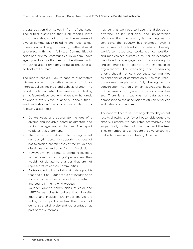groups position themselves in front of the issue. The critical discussion that such reports invite us to have should not occur at the expense of diverse communities (including age, race, sexual orientation, and religious identity); rather, it must take place with them, full stop. Communities of color and diverse communities, in general, have agency and a voice that needs to be affirmed with the varied assets that they bring to the table as co-hosts of the feast.

The report uses a survey to capture quantitative information and qualitative aspects of donor interest, beliefs, feelings, and behavioral trust. The report confirmed what I experienced in dealing at the face-to-face level with dozens or hundreds of donors every year. In general, donors that I work with show a flow of positions similar to the following assertions:

- Donors value and appreciate the idea of a diverse and inclusive board of directors and senior management in charities. The report validates that statement.
- The report also shows that a significant number (40 percent) supports the idea of not tolerating proven cases of racism, gender discrimination, and other forms of exclusion.
- However, when it came to affirming diversity in their communities, only 21 percent said they would not donate to charities that are not representative of their communities.
- A disappointing but not shocking data point is that one out of 10 donors did not include as an issue or concern the concept of representation and equity in their giving process.
- Younger, diverse communities of color and LGBTQ+ participants believe that diversity, equity, and inclusion are important yet are willing to support charities that have not demonstrated diversity and representation as part of the outcomes.

I agree that we need to have this dialogue on diversity, equity, inclusion, and philanthropy. We know that the country is changing; as my son says, the country has changed, even if some have not noticed it. The data on diversity, workforce resources, workplace composition, and marketplace dynamics call for an expansive plan to address, engage, and incorporate equity and communities of color into the leadership of organizations. The marketing and fundraising efforts should not consider these communities as beneficiaries of compassion but as resourceful donors—as people who fully belong in the conversation, not only on an aspirational basis but because of how generous these communities are. There is a great deal of data available demonstrating the generosity of African American and Latino communities.

The nonprofit sector is justifiably alarmed by recent results showing that fewer households donate to charity. Perhaps we can listen affirmatively and empathically to the rock, the river, and the tree. They remember and anticipate the diverse country that is to come in this pulsating America.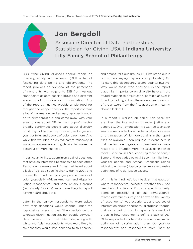### **Jon Bergdoll**

Associate Director of Data Partnerships, Statistician for Giving USA | Indiana University Lilly Family School of Philanthropy

BBB Wise Giving Alliance's special report on diversity, equity, and inclusion (DEI) is full of fascinating data points and observations. The report provides an overview of the perception of nonprofits with regard to DEI from various standpoints of both specific groups and different scenarios of inclusion or discrimination. Any of the report's findings provide ample food for thought and deeper analysis. The report contains a lot of information, and an easy approach would be to skim through it and come away with your assumptions about DEI in the nonprofit sector broadly confirmed: people care about diversity, but it may not be their top concern, and in general younger folks and people of color care more. And while this wouldn't be an *inaccurate* takeaway, it would miss some interesting details that make the picture a bit more nuanced.

In particular, I'd like to zoom in on a pair of questions that have an interesting relationship to each other. Respondents were asked if they had heard about a lack of DEI at a specific charity during 2021, and the results found that younger people, people of color (especially African American and Hispanic/ Latino respondents), and some religious groups (particularly Muslims) were more likely to report having heard about this.

Later in the survey, respondents were asked how their donations would change under the hypothetical scenario that "the charity's culture tolerates discrimination against people served…" Here the report finds that older folks, along with white and Asian respondents, were *more* likely to say that they would stop donating to this charity;

and among religious groups, Muslims stood out in terms of not saying they would stop donating. On its own, this discrepancy seems counterintuitive. Why would those who elsewhere in the report place high importance on diversity have a more muted reaction to prejudice? A possible answer is found by looking at how these are a near inversion of the answers from the first question on hearing about a lack of DEI.

In a report I worked on earlier this year,<sup>1</sup> we examined the intersection of racial justice and generosity. One key question we wanted to answer was how respondents defined a racial justice cause or organization. While more detail is in the report itself or available upon request, relevant here is that certain demographic characteristics were related to a broader, more inclusive definition of racial justice causes (i.e., choosing more options).<sup>2</sup> Some of those variables might seem familiar here: younger people and African Americans (along with single women) typically had more expansive definitions of racial justice causes.

With this in mind, let's look back at that question where respondents indicated whether they had heard about a lack of DEI at a specific charity. Some—or possibly all—of the demographicrelated differences surely boil down to the variety of respondents' lived experiences and sources of information about nonprofits. I'd suggest, though, that some part of this discrepancy is a result of a gap in how respondents define a lack of DEI. Older respondents potentially have a more limited definition of discrimination than do younger respondents; and respondents more likely to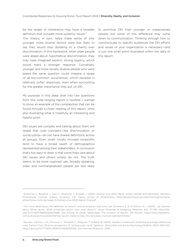be the target of intolerance may have a broader definition that includes more systemic issues. $3$ 

This theory, in turn, helps make sense of why younger, more diverse donors were less likely to say they would stop donating to a charity over discrimination. In this framework, when older people were asked about hypothetical discrimination, they may have imagined explicit, strong bigotry, which would merit a stronger response. Conversely, younger and more racially diverse people who were asked the same question could imagine a range of all-too-common occurrences, which resulted in relatively softer responses, even when accounting for the greater importance they put on DEI.

My purpose in this deep dive into two questions from this wide-ranging report is twofold. I wanted to show an example of the complexities that can be found through a closer reading of this report, while also illustrating what is hopefully an interesting and helpful point.

DEI issues are complex and talking about them will reveal that core concepts—like discrimination or social justice—do not have shared definitions across all groups. Even small, locally focused nonprofits tend to have a broad swath of demographics represented among their stakeholders. A conclusion that's too easy to draw is that some folks care about DEI issues and others simply do not. The truth seems to be more nuanced: yes, broadly speaking, older and nonmarginalized people are less likely

to prioritize DEI than younger or marginalized people, but some of this difference may come down to communication. Thinking through how to communicate to specific audiences the DEI efforts and issues of your organization is necessary—and is just one small point illustrated within the data of this report.

<sup>1</sup> Ackerman, J., Bergdoll, J., Osili, U., Skidmore, T., & Sager, J. (2022). *Women Give 2022: Racial Justice, Gender and Generosity.* Women's Philanthropy Institute, Indiana University Lilly Family School of Philanthropy. https://philanthropy.iupui.edu/institutes/womensphilanthropy-institute/research/Women-Give-2022-Report-final.pdf

<sup>&</sup>lt;sup>2</sup> For more detail about the definition of "racism" and its evolution over time, see: Sommers, S. R., & Norton, M. I. (2006). Lay theories about White racists: What constitutes racism (and what doesn't). *Group Processes & Intergroup Relations*, 9(1), 117–138. https://doi. org/10.1177%2F1368430206059881; and Zimmer, B. (2020, September). The evolution of *Racism*. The Atlantic. https://www.theatlantic. com/culture/archive/2020/09/how-racism-made-its-way-into-dictionary-merriam-webster/615334/

<sup>3</sup> See also: Johnson, J. D., Simmons, C., Trawalter, S., Ferguson, T., & Reed, W. (2003). Variation in black anti-white bias and target distancing cues: Factors that influence perceptions of "ambiguously racist" behavior. *Personality and Social Psychology Bulletin*, 29(5), 609–622. https://doi.org/10.1177%2F0146167203029005006; and Sommers & Norton, 2006.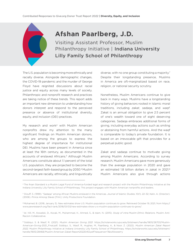

### **Afshan Paarlberg, J.D.**

Visiting Assistant Professor, Muslim Philanthropy Initiative | Indiana University Lilly Family School of Philanthropy

The U.S. population is becoming more ethnically and racially diverse. Alongside demographic changes, the COVID-19 pandemic and the murder of George Floyd have reignited discussions about racial justice and equity across many levels of society. Philanthropic and nonprofit research and practices are taking notice of these trends. This report adds an important new dimension to understanding how donors interpret and respond to the perceived presence or absence of institutional diversity, equity, and inclusion (DEI) practices.

My research and work<sup>4</sup> with Muslim American nonprofits drew my attention to the many significant findings on Muslim American donors, who are among the groups to express the highest degree of importance for institutional DEI. Muslims have been present in America since at least the 16th century, as documented in the accounts of enslaved Africans.<sup>5</sup> Although Muslim Americans constitute about 1.1 percent of the total U.S. population, they are projected to become the second-largest faith-based group by 2050.<sup>6</sup> Muslim Americans are racially, ethnically, and linguistically

diverse, with no one group constituting a majority.7 Despite their longstanding presence, Muslims in America are oft-marginalized based on race, religion, or national security scrutiny.

Nonetheless, Muslim Americans continue to give back in many ways. Muslims have a longstanding history of giving behaviors rooted in Islamic moral traditions, including *zakat*, *sadaqa*, and *waqf*. Zakat is an annual obligation to give 2.5 percent of one's wealth toward one of eight deserving categories. Sadaqa embraces additional forms of giving, including everyday actions such as smiling or abstaining from harmful actions. And the waqf is comparable to today's private foundation. It is based on an irrevocable gift that provides for a perpetual public good.

Zakat and sadaqa continue to motivate giving among Muslim Americans. According to survey research, Muslim Americans gave more generously than the average population in 2020 and gave an estimated 1.8 billion dollars in zakat in 2021.8 Muslim Americans also give through actions

<sup>4</sup> The Ihsan Standard is a Muslim Legal Fund of America-funded legal and research project with the Muslim Philanthropy Initiative at the Indiana University Lilly Family School of Philanthropy. This project engages with Muslim American nonprofits and leaders.

<sup>5</sup> Diouff, S. (1999). "Sadaqa" among African Muslims enslaved in the Americas. *Journal of Islamic Studies*, 10(1), 22–32; Kalin, A. (Director). (2006). *Prince Among Slaves* [Film]. Unity Productions Foundation.

<sup>6</sup> Mohamed, B. (2018, January 3). New estimates show U.S. Muslim population continues to grow. Retrieved October 19, 2021, from https:// www.pewresearch.org/fact-tank/2018/01/03/new-estimates-show-u-s-muslim-population-continues-to-grow/.

<sup>7</sup> *Id.*; Hill, M., Kowalski, D., Kocak, M., Muhammad, H., Ahmed, S., & Islam, N. (2015). *Study of intra-Muslim Ethnic Relations*. Muslim Anti-Racism Collaborative.

<sup>8</sup> Siddiqui, S. & Wasif, R. (2021). *Muslim American Giving 2021*. https://scholarworks.iupui.edu/bitstream/handle/1805/26703/Muslim-American-Giving-2021\_Final.pdf; Siddiqui, S., Wasif, R., Hughes, M., Paarlberg, A., & Noor, Z. (2022). *Muslim American Zakat Report 2022*. Muslim Philanthropy Initiative at Indiana University Lilly Family School of Philanthropy. https://scholarworks.iupui.edu/bitstream/ handle/1805/28468/Muslim-American-Zakat-Report20220412.pdf?sequence=7&isAllowed=y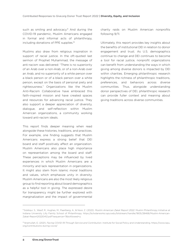such as smiling and advocacy.<sup>9</sup> And during the COVID-19 pandemic, Muslim Americans engaged in formal and informal acts of philanthropy, including donations of PPE supplies.10

Muslims also draw from religious inspiration in support of racial justice. In the oft-quoted last sermon of Prophet Muhammad, the message of anti-racism was delivered: "There is no superiority of an Arab over a non-Arab, or of a non-Arab over an Arab, and no superiority of a white person over a black person or of a black person over a white person, except on the basis of personal piety and righteousness." Organizations like the Muslim Anti-Racism Collaborative have embraced this faith-inspired mission and have created spaces and resources for advancing racial justice. They also support a deeper appreciation of diversity, dialogue, and self-reflection within Muslim American organizations, a community working toward anti-racism ideals.

This report finds deeper meaning when read alongside these histories, traditions, and practices. For example, one finding suggests that Muslim Americans express a strong belief that DEI board and staff positively affect an organization. Muslim Americans also place high importance on representation among the board and staff. These perceptions may be influenced by lived experiences in which Muslim Americans are a minority and lack representation in organizations. It might also stem from Islamic moral traditions and values, which emphasize unity in diversity. Muslim Americans are also the most likely religious group to find reporting about board demographics as a helpful tool in giving. The expressed desire for transparency might be further explored with marginalization and the impact of governmental charity raids on Muslim American nonprofits following 9/11.

Ultimately, this report provides key insights about the benefits of institutional DEI in relation to donor engagement and trust. As U.S. demographics continue to change and DEI continues to become a tool for racial justice, nonprofit organizations can benefit from understanding the ways in which giving among diverse donors is impacted by DEI within charities. Emerging philanthropic research highlights the richness of philanthropic traditions, preferences, and behaviors across diverse communities. Thus, alongside understanding donor perspectives of DEI, philanthropic research can provide fuller context and meaning about giving traditions across diverse communities.

<sup>9</sup> Siddiqui, S., Wasif, R., Hughes, M., Paarlberg, A., & Noor, Z. (2022). *Muslim American Zakat Report 2022*. Muslim Philanthropy Initiative at Indiana University Lilly Family School of Philanthropy. https://scholarworks.iupui.edu/bitstream/handle/1805/28468/Muslim-American-Zakat-Report20220412.pdf?sequence=7&isAllowed=y

<sup>10</sup> Ikramullah, E. (2021). *Facing COVID-19 Through Service and Contribution*. Institute for Social Policy and Understanding. https://www.ispu. org/contributions-during-covid/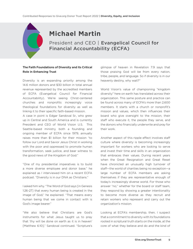### **Michael Martin**

President and CEO | Evangelical Council for Financial Accountability (ECFA)

#### The Faith Foundations of Diversity and Its Critical Role in Enhancing Trust

Diversity is an expanding priority among the 14.6 million donors and \$30 billion in total annual revenue represented by the accredited members of ECFA (Evangelical Council for Financial Accountability). We're seeing Christ-centered churches and nonprofits increasingly voice theological foundations for diversity as well as linking it to their specific faith-based mission.

A case in point is Edgar Sandoval Sr., who grew up in Central and South America and is currently President and CEO of World Vision U.S. This Seattle-based ministry, both a founding and ongoing member of ECFA since 1979, annually raises more than \$1 billion for their mission "to follow our Lord and Savior Jesus Christ in working with the poor and oppressed to promote human transformation, seek justice, and bear witness to the good news of the Kingdom of God."

"One of my presidential imperatives is to build a more diverse employee and donor base," he explained as I interviewed him on a recent ECFA podcast. "Diversity is in our DNA as Christians."

I asked him why. "The Word of God says [in Genesis 1:26-27] that every human being is created in the image of God," he explained. "That means every human being that we come in contact with is God's image bearer."

"We also believe that Christians are God's instruments for what Jesus taught us to pray that 'thy will be done on earth as it is in heaven' [Matthew 6:10]," Sandoval continued. "Scripture's

glimpse of heaven in Revelation 7:9 says that those praising God will be from every nation, tribe, people, and language. So if diversity is in our heavenly destiny, why wait?"

World Vision's value of championing "kingdom diversity" here on earth has translated across their organization. This same posture and practice can be found across many of ECFA's more than 2,600 members. It starts with a church or nonprofit's mission and values, which then influences their board who give oversight to the mission, their staff who execute it, the people they serve, and the donors who financially underwrite and pray for their work.

Another aspect of this ripple effect involves staff culture where diversity is becoming increasingly important for workers who are looking to serve and invest their time and skills in an organization that embraces their values. During recent years when the Great Resignation and Great Reset have chronicled an unusually high turnover of staff—the world of charities being no exception—a large number of ECFA members are asking themselves if they are representative enough of today's increasingly diverse world. For those who answer "no," whether for the board or staff team, they respond by showing a greater intentionality to become more diverse as they recruit and retain workers who represent and carry out the organization's mission.

Looking at ECFA's membership, then, I suspect that a commitment to diversity with its foundations rooted in scriptural truth starts on the inside, at the core of what they believe and do and the kind of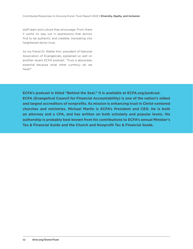staff team and culture they encourage. From there it works its way out in expressions that donors find to be authentic and credible, translating into heightened donor trust.

As my friend Dr. Walter Kim, president of National Association of Evangelicals, explained so well on another recent ECFA podcast, "Trust is absolutely essential because what other currency do we have?"

**ECFA's podcast is titled "Behind the Seal." It is available at ECFA.org/podcast. ECFA (Evangelical Council for Financial Accountability) is one of the nation's oldest and largest accreditors of nonprofits. Its mission is enhancing trust in Christ-centered churches and ministries. Michael Martin is ECFA's President and CEO. He is both an attorney and a CPA, and has written on both scholarly and popular levels. His authorship is probably best known from his contributions to ECFA's annual Minister's Tax & Financial Guide and the Church and Nonprofit Tax & Financial Guide.**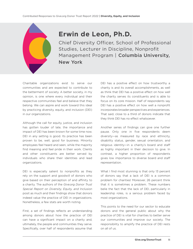

#### **Erwin de Leon, Ph.D.**

Chief Diversity Officer, School of Professional Studies, Lecturer in Discipline, Nonprofit Management Program | Columbia University, New York

Charitable organizations exist to serve our communities and are expected to contribute to the betterment of society. A better society, in my opinion, is one where every individual and their respective communities feel and believe that they belong. We can aspire and work toward this ideal by practicing diversity, equity, and inclusion (DEI) in our organizations.

Although the call for equity, justice, and inclusion has gotten louder of late, the importance and impact of DEI has been known for some time now. DEI in any setting is good. Its practice has been proven to be, well, good for business. Minority employees feel heard and seen, while the majority find meaning and feel pride in their work. Clients and other constituents are better served by individuals who share their identities and lead organizations.

DEI is especially salient to nonprofits as they rely on the support and goodwill of donors who give based on their perception of and affinity to a charity. The authors of the *Give.org Donor Trust Special Report on Diversity, Equity, and Inclusion* posit as much and their findings show that donors indeed value the practice of DEI in organizations. Nonetheless, a few stats are worth noting.

First, a set of findings reflects an understanding among donors about how the practice of DEI can have a significant impact on a charity and, ultimately, the people and communities they serve. Specifically, over half of respondents assume that

DEI has a positive effect on how trustworthy a charity is and its overall accomplishments, as well as think that DEI has a positive effect on how well the charity serves its constituents and is able to focus on its core mission. Half of respondents say DEI has a positive effect on how well a nonprofit incorporates broader perspectives and experiences. That said, close to a third of donors indicate that they think DEI has no effect whatsoever.

Another series of findings can give one further pause. Only one in five respondents deem diversity—as measured by race and ethnicity, disability status, gender, sexual orientation, and religious identity—in a charity's board and staff as highly important in their decision to give. In contrast, a higher proportion of respondents gives low importance to diverse board and staff representation.

What I find most stunning is that only 13 percent of donors say that a lack of DEI is a common problem for charities! Moreover, 26 percent think that it is sometimes a problem. These numbers belie the fact that the lack of DEI, particularly in leadership roles, is a serious problem faced by most organizations.

This points to the need for our sector to educate donors and the general public about why the practice of DEI is vital for charities to better serve our communities and improve our society. The responsibility to amplify the practice of DEI rests on all of us.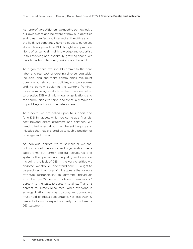As nonprofit practitioners, we need to acknowledge our own biases and be aware of how our identities and roles manifest and intersect at the office and in the field. We constantly have to educate ourselves about developments in DEI thought and practice. None of us can claim full knowledge and expertise in this evolving and, thankfully, growing space. We have to be humble, open, curious, and hopeful.

As organizations, we should commit to the hard labor and real cost of creating diverse, equitable, inclusive, and anti-racist communities. We must question our structures, policies, and procedures and, to borrow Equity in the Center's framing, move from being awake to woke to work-that is, to practice DEI well within our organizations and the communities we serve, and eventually make an impact beyond our immediate sphere.

As funders, we are called upon to support and fund DEI initiatives, which do come at a financial cost beyond direct programs and services. We need to be honest about the inherent inequity and injustice that has elevated us to such a position of privilege and power.

As individual donors, we must learn all we can, not just about the cause and organization we're supporting, but larger societal structures and systems that perpetuate inequality and injustice, including the lack of DEI in the very charities we endorse. We should understand how DEI ought to be practiced in a nonprofit. It appears that donors attribute responsibility to different individuals at a charity— 24 percent to board members, 23 percent to the CEO, 19 percent to all staff, and 13 percent to Human Resources—when everyone in an organization has a part to play. As donors, we must hold charities accountable. Yet less than 10 percent of donors expect a charity to disclose its DEI statement.